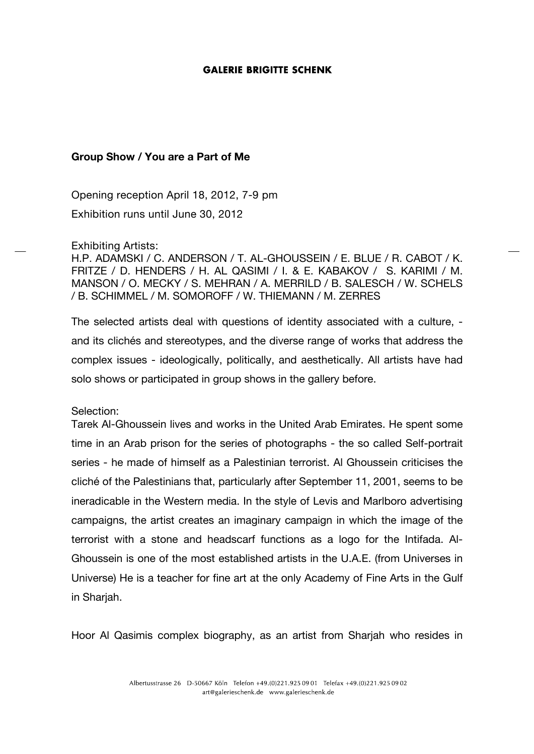## **GALERIE BRIGITTE SCHENK**

## **Group Show / You are a Part of Me**

Opening reception April 18, 2012, 7-9 pm Exhibition runs until June 30, 2012

## Exhibiting Artists:

H.P. ADAMSKI / C. ANDERSON / T. AL-GHOUSSEIN / E. BLUE / R. CABOT / K. FRITZE / D. HENDERS / H. AL QASIMI / I. & E. KABAKOV / S. KARIMI / M. MANSON / O. MECKY / S. MEHRAN / A. MERRILD / B. SALESCH / W. SCHELS / B. SCHIMMEL / M. SOMOROFF / W. THIEMANN / M. ZERRES

The selected artists deal with questions of identity associated with a culture, and its clichés and stereotypes, and the diverse range of works that address the complex issues - ideologically, politically, and aesthetically. All artists have had solo shows or participated in group shows in the gallery before.

Selection:

Tarek Al-Ghoussein lives and works in the United Arab Emirates. He spent some time in an Arab prison for the series of photographs - the so called Self-portrait series - he made of himself as a Palestinian terrorist. Al Ghoussein criticises the cliché of the Palestinians that, particularly after September 11, 2001, seems to be ineradicable in the Western media. In the style of Levis and Marlboro advertising campaigns, the artist creates an imaginary campaign in which the image of the terrorist with a stone and headscarf functions as a logo for the Intifada. Al-Ghoussein is one of the most established artists in the U.A.E. (from Universes in Universe) He is a teacher for fine art at the only Academy of Fine Arts in the Gulf in Sharjah.

Hoor Al Qasimis complex biography, as an artist from Sharjah who resides in